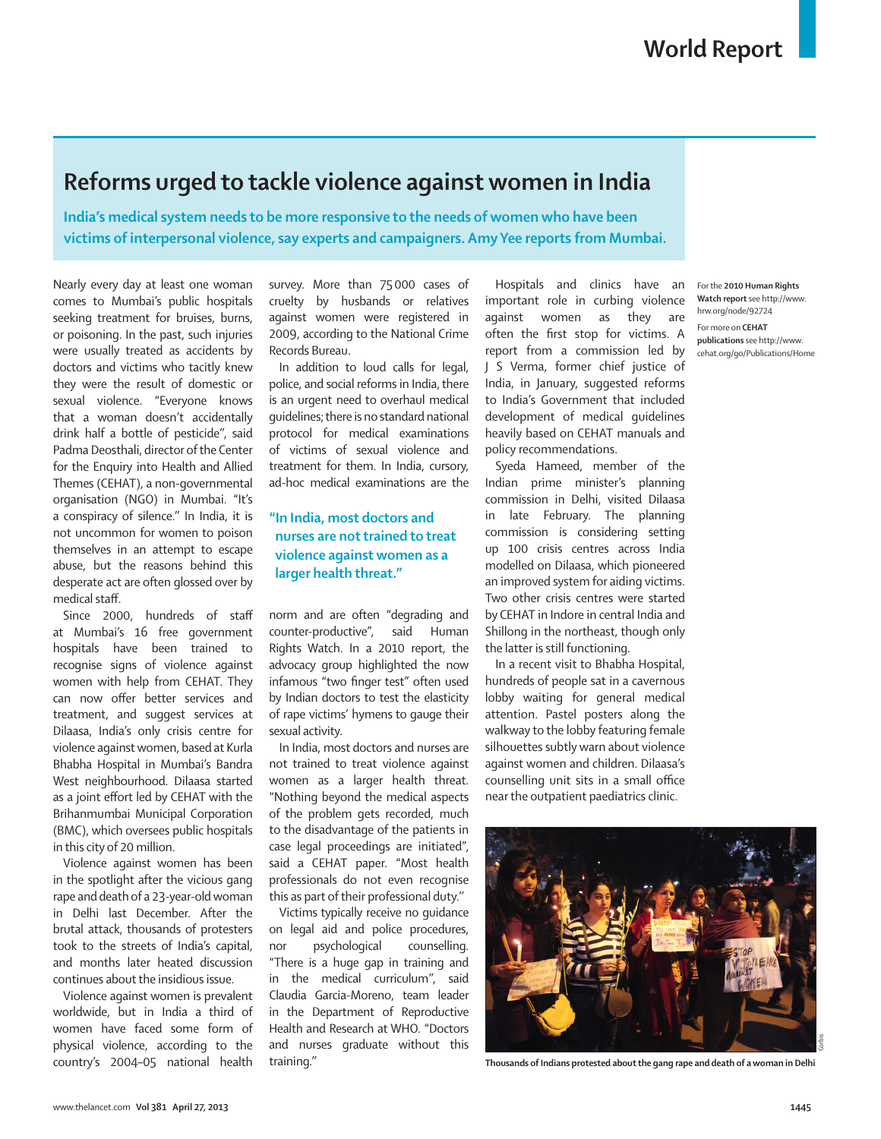## **Reforms urged to tackle violence against women in India**

**India's medical system needs to be more responsive to the needs of women who have been victims of interpersonal violence, say experts and campaigners. Amy Yee reports from Mumbai.**

Nearly every day at least one woman comes to Mumbai's public hospitals seeking treatment for bruises, burns, or poisoning. In the past, such injuries were usually treated as accidents by doctors and victims who tacitly knew they were the result of domestic or sexual violence. "Everyone knows that a woman doesn't accidentally drink half a bottle of pesticide'', said Padma Deosthali, director of the Center for the Enquiry into Health and Allied Themes (CEHAT), a non-governmental organisation (NGO) in Mumbai. "It's a conspiracy of silence.'' In India, it is not uncommon for women to poison themselves in an attempt to escape abuse, but the reasons behind this desperate act are often glossed over by medical staff.

Since 2000, hundreds of staff at Mumbai's 16 free government hospitals have been trained to recognise signs of violence against women with help from CEHAT. They can now offer better services and treatment, and suggest services at Dilaasa, India's only crisis centre for violence against women, based at Kurla Bhabha Hospital in Mumbai's Bandra West neighbourhood. Dilaasa started as a joint effort led by CEHAT with the Brihanmumbai Municipal Corporation (BMC), which oversees public hospitals in this city of 20 million.

Violence against women has been in the spotlight after the vicious gang rape and death of a 23-year-old woman in Delhi last December. After the brutal attack, thousands of protesters took to the streets of India's capital, and months later heated discussion continues about the insidious issue.

Violence against women is prevalent worldwide, but in India a third of women have faced some form of physical violence, according to the country's 2004–05 national health

survey. More than 75 000 cases of cruelty by husbands or relatives against women were registered in 2009, according to the National Crime Records Bureau.

In addition to loud calls for legal, police, and social reforms in India, there is an urgent need to overhaul medical guidelines; there is no standard national protocol for medical examinations of victims of sexual violence and treatment for them. In India, cursory, ad-hoc medical examinations are the

## **"In India, most doctors and nurses are not trained to treat violence against women as a larger health threat."**

norm and are often "degrading and counter-productive", said Human Rights Watch. In a 2010 report, the advocacy group highlighted the now infamous "two finger test" often used by Indian doctors to test the elasticity of rape victims' hymens to gauge their sexual activity.

In India, most doctors and nurses are not trained to treat violence against women as a larger health threat. "Nothing beyond the medical aspects of the problem gets recorded, much to the disadvantage of the patients in case legal proceedings are initiated", said a CEHAT paper. "Most health professionals do not even recognise this as part of their professional duty.''

Victims typically receive no guidance on legal aid and police procedures, nor psychological counselling. "There is a huge gap in training and in the medical curriculum'', said Claudia Garcia-Moreno, team leader in the Department of Reproductive Health and Research at WHO. "Doctors and nurses graduate without this training.''

Hospitals and clinics have an important role in curbing violence against women as they are often the first stop for victims. A report from a commission led by J S Verma, former chief justice of India, in January, suggested reforms to India's Government that included development of medical guidelines heavily based on CEHAT manuals and policy recommendations.

Syeda Hameed, member of the Indian prime minister's planning commission in Delhi, visited Dilaasa in late February. The planning commission is considering setting up 100 crisis centres across India modelled on Dilaasa, which pioneered an improved system for aiding victims. Two other crisis centres were started by CEHAT in Indore in central India and Shillong in the northeast, though only the latter is still functioning.

In a recent visit to Bhabha Hospital, hundreds of people sat in a cavernous lobby waiting for general medical attention. Pastel posters along the walkway to the lobby featuring female silhouettes subtly warn about violence against women and children. Dilaasa's counselling unit sits in a small office near the outpatient paediatrics clinic.



**Thousands of Indians protested about the gang rape and death of a woman in Delhi**

For the **2010 Human Rights Watch report** see http://www. hrw.org/node/92724 For more on **CEHAT** 

**publications** see http://www. cehat.org/go/Publications/Home